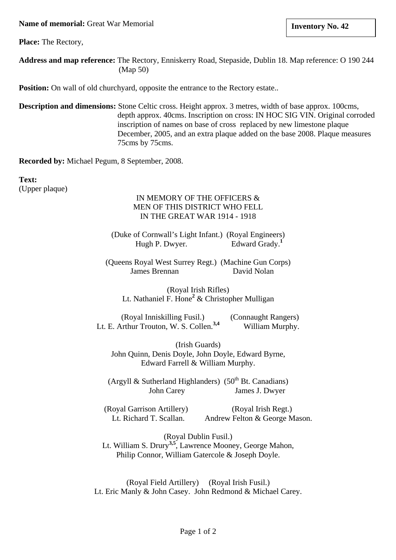**Name of memorial:** Great War Memorial

**Place:** The Rectory,

**Address and map reference:** The Rectory, Enniskerry Road, Stepaside, Dublin 18. Map reference: O 190 244 (Map 50)

**Position:** On wall of old churchyard, opposite the entrance to the Rectory estate..

**Description and dimensions:** Stone Celtic cross. Height approx. 3 metres, width of base approx. 100cms, depth approx. 40cms. Inscription on cross: IN HOC SIG VIN. Original corroded inscription of names on base of cross replaced by new limestone plaque December, 2005, and an extra plaque added on the base 2008. Plaque measures 75cms by 75cms.

**Recorded by:** Michael Pegum, 8 September, 2008.

**Text:** (Upper plaque)

# IN MEMORY OF THE OFFICERS & MEN OF THIS DISTRICT WHO FELL IN THE GREAT WAR 1914 - 1918

(Duke of Cornwall's Light Infant.) (Royal Engineers) Hugh P. Dwyer. Edward Grady.<sup>1</sup>

(Queens Royal West Surrey Regt.) (Machine Gun Corps) James Brennan David Nolan

(Royal Irish Rifles) Lt. Nathaniel F. Hone**<sup>2</sup>** & Christopher Mulligan

(Royal Inniskilling Fusil.) (Connaught Rangers) Lt. E. Arthur Trouton, W. S. Collen.<sup>3,4</sup> William Murphy.

(Irish Guards) John Quinn, Denis Doyle, John Doyle, Edward Byrne, Edward Farrell & William Murphy.

(Argyll & Sutherland Highlanders)  $(50<sup>th</sup>$  Bt. Canadians) John Carey James J. Dwyer

(Royal Garrison Artillery) (Royal Irish Regt.) Lt. Richard T. Scallan. Andrew Felton & George Mason.

(Royal Dublin Fusil.) Lt. William S. Drury**3,5**, Lawrence Mooney, George Mahon, Philip Connor, William Gatercole & Joseph Doyle.

(Royal Field Artillery) (Royal Irish Fusil.) Lt. Eric Manly & John Casey. John Redmond & Michael Carey.